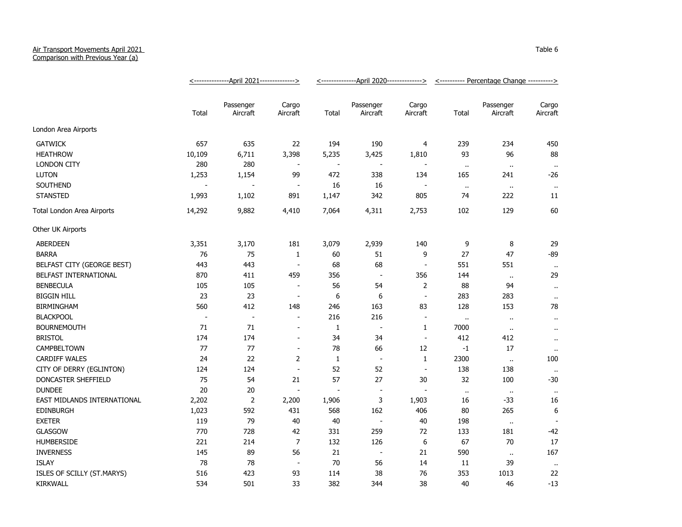## Air Transport Movements April 2021

Comparison with Previous Year (a)

|                             | <u>&lt;---------------April 2021--------------&gt;</u> |                          |                          | <u>&lt;--------------April 2020--------------&gt;</u> |                          |                          | <u>&lt;----------</u> Percentage Change ----------> |                       |                      |
|-----------------------------|--------------------------------------------------------|--------------------------|--------------------------|-------------------------------------------------------|--------------------------|--------------------------|-----------------------------------------------------|-----------------------|----------------------|
|                             | Total                                                  | Passenger<br>Aircraft    | Cargo<br>Aircraft        | Total                                                 | Passenger<br>Aircraft    | Cargo<br>Aircraft        | Total                                               | Passenger<br>Aircraft | Cargo<br>Aircraft    |
| London Area Airports        |                                                        |                          |                          |                                                       |                          |                          |                                                     |                       |                      |
| <b>GATWICK</b>              | 657                                                    | 635                      | 22                       | 194                                                   | 190                      | 4                        | 239                                                 | 234                   | 450                  |
| <b>HEATHROW</b>             | 10,109                                                 | 6,711                    | 3,398                    | 5,235                                                 | 3,425                    | 1,810                    | 93                                                  | 96                    | 88                   |
| <b>LONDON CITY</b>          | 280                                                    | 280                      | $\sim$                   | $\overline{\phantom{a}}$                              | $\overline{\phantom{a}}$ |                          | $\bullet$ .                                         | $\bullet\bullet$      | $\sim$               |
| <b>LUTON</b>                | 1,253                                                  | 1,154                    | 99                       | 472                                                   | 338                      | 134                      | 165                                                 | 241                   | -26                  |
| SOUTHEND                    |                                                        |                          | $\overline{\phantom{a}}$ | 16                                                    | 16                       |                          | $\ddot{\phantom{1}}$                                | $\sim$                | $\bullet$ .          |
| <b>STANSTED</b>             | 1,993                                                  | 1,102                    | 891                      | 1,147                                                 | 342                      | 805                      | 74                                                  | 222                   | 11                   |
| Total London Area Airports  | 14,292                                                 | 9,882                    | 4,410                    | 7,064                                                 | 4,311                    | 2,753                    | 102                                                 | 129                   | 60                   |
| Other UK Airports           |                                                        |                          |                          |                                                       |                          |                          |                                                     |                       |                      |
| <b>ABERDEEN</b>             | 3,351                                                  | 3,170                    | 181                      | 3,079                                                 | 2,939                    | 140                      | 9                                                   | 8                     | 29                   |
| <b>BARRA</b>                | 76                                                     | 75                       | $\mathbf{1}$             | 60                                                    | 51                       | 9                        | 27                                                  | 47                    | $-89$                |
| BELFAST CITY (GEORGE BEST)  | 443                                                    | 443                      | $\overline{\phantom{a}}$ | 68                                                    | 68                       | $\overline{a}$           | 551                                                 | 551                   | $\cdot$ .            |
| BELFAST INTERNATIONAL       | 870                                                    | 411                      | 459                      | 356                                                   | $\overline{\phantom{a}}$ | 356                      | 144                                                 | $\ddot{\phantom{1}}$  | 29                   |
| <b>BENBECULA</b>            | 105                                                    | 105                      | $\blacksquare$           | 56                                                    | 54                       | $\overline{2}$           | 88                                                  | 94                    | $\bullet$ .          |
| <b>BIGGIN HILL</b>          | 23                                                     | 23                       | $\overline{\phantom{a}}$ | 6                                                     | 6                        | $\overline{\phantom{a}}$ | 283                                                 | 283                   | $\cdots$             |
| <b>BIRMINGHAM</b>           | 560                                                    | 412                      | 148                      | 246                                                   | 163                      | 83                       | 128                                                 | 153                   | 78                   |
| <b>BLACKPOOL</b>            | $\overline{\phantom{a}}$                               | $\overline{\phantom{a}}$ | $\overline{a}$           | 216                                                   | 216                      | $\overline{\phantom{a}}$ | $\ddot{\phantom{1}}$                                | $\ddot{\phantom{1}}$  | $\ddot{\phantom{1}}$ |
| <b>BOURNEMOUTH</b>          | 71                                                     | 71                       | $\overline{a}$           | 1                                                     | $\overline{a}$           | 1                        | 7000                                                | $\sim$                | $\ddot{\phantom{a}}$ |
| <b>BRISTOL</b>              | 174                                                    | 174                      | $\blacksquare$           | 34                                                    | 34                       | $\blacksquare$           | 412                                                 | 412                   | $\ddot{\phantom{1}}$ |
| CAMPBELTOWN                 | 77                                                     | 77                       | $\blacksquare$           | 78                                                    | 66                       | 12                       | $-1$                                                | 17                    | $\sim$               |
| <b>CARDIFF WALES</b>        | 24                                                     | 22                       | 2                        | 1                                                     | $\overline{\phantom{a}}$ | $\mathbf{1}$             | 2300                                                | $\alpha$              | 100                  |
| CITY OF DERRY (EGLINTON)    | 124                                                    | 124                      | $\blacksquare$           | 52                                                    | 52                       | $\overline{\phantom{a}}$ | 138                                                 | 138                   |                      |
| DONCASTER SHEFFIELD         | 75                                                     | 54                       | 21                       | 57                                                    | 27                       | 30                       | 32                                                  | 100                   | -30                  |
| <b>DUNDEE</b>               | $20\,$                                                 | 20                       | $\blacksquare$           |                                                       | $\overline{\phantom{a}}$ |                          | $\ddot{\phantom{1}}$                                | $\cdot$               | $\bullet$ .          |
| EAST MIDLANDS INTERNATIONAL | 2,202                                                  | $\overline{2}$           | 2,200                    | 1,906                                                 | 3                        | 1,903                    | 16                                                  | $-33$                 | 16                   |
| <b>EDINBURGH</b>            | 1,023                                                  | 592                      | 431                      | 568                                                   | 162                      | 406                      | 80                                                  | 265                   | 6                    |
| <b>EXETER</b>               | 119                                                    | 79                       | 40                       | 40                                                    | $\overline{\phantom{a}}$ | 40                       | 198                                                 | $\alpha$              |                      |
| <b>GLASGOW</b>              | 770                                                    | 728                      | 42                       | 331                                                   | 259                      | 72                       | 133                                                 | 181                   | -42                  |
| <b>HUMBERSIDE</b>           | 221                                                    | 214                      | $\overline{7}$           | 132                                                   | 126                      | 6                        | 67                                                  | 70                    | 17                   |
| <b>INVERNESS</b>            | 145                                                    | 89                       | 56                       | 21                                                    | $\overline{\phantom{a}}$ | 21                       | 590                                                 | $\sim$                | 167                  |
| <b>ISLAY</b>                | 78                                                     | 78                       | $\overline{\phantom{a}}$ | 70                                                    | 56                       | 14                       | 11                                                  | 39                    | $\sim$               |
| ISLES OF SCILLY (ST.MARYS)  | 516                                                    | 423                      | 93                       | 114                                                   | 38                       | 76                       | 353                                                 | 1013                  | 22                   |
| <b>KIRKWALL</b>             | 534                                                    | 501                      | 33                       | 382                                                   | 344                      | 38                       | 40                                                  | 46                    | $-13$                |